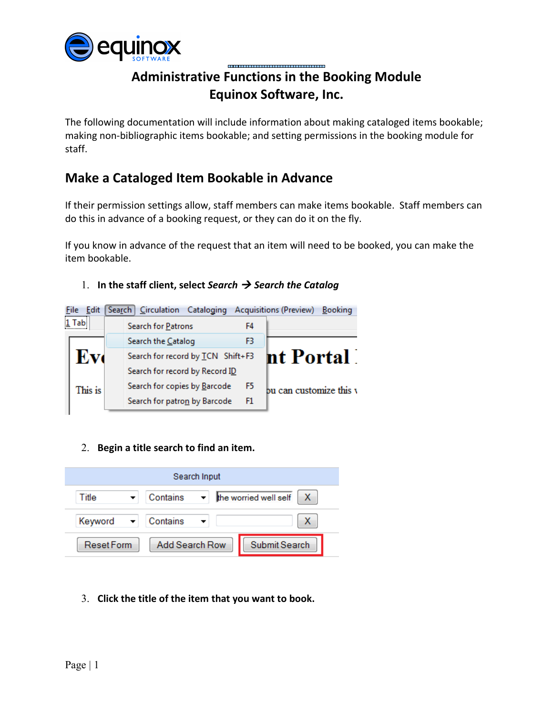

## **Administrative Functions in the Booking Module Equinox Software, Inc.**

The following documentation will include information about making cataloged items bookable; making non-bibliographic items bookable; and setting permissions in the booking module for staff.

# **Make a Cataloged Item Bookable in Advance**

If their permission settings allow, staff members can make items bookable. Staff members can do this in advance of a booking request, or they can do it on the fly.

If you know in advance of the request that an item will need to be booked, you can make the item bookable.

## 1. **In the staff client, select** *Search Search the Catalog*



### 2. **Begin a title search to find an item.**

| Search Input     |          |                                  |  |  |
|------------------|----------|----------------------------------|--|--|
| Title            | Contains | the worried well self<br>X<br>▾╎ |  |  |
| Keyword          | Contains |                                  |  |  |
| <b>ResetForm</b> |          | Submit Search<br>Add Search Row  |  |  |

### 3. **Click the title of the item that you want to book.**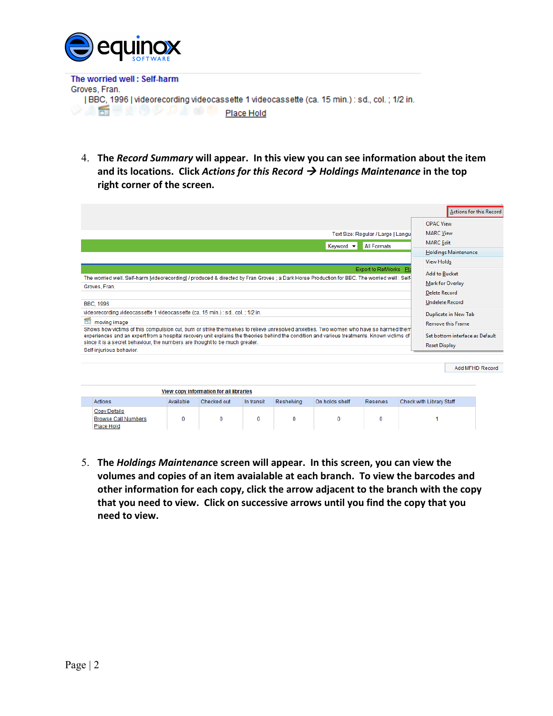

The worried well: Self-harm Groves, Fran. [BBC, 1996] videorecording videocassette 1 videocassette (ca. 15 min.) : sd., col. ; 1/2 in. ◇△舌草小の◇♪♪●● Place Hold

4. **The** *Record Summary* **will appear. In this view you can see information about the item and its locations. Click** *Actions for this Record Holdings Maintenance* **in the top right corner of the screen.**

|                                                                                                                                                                                         |                                                                                                                                                                                                                                                                                                                                                                      |           |             |            |            |                  |                                          |                                                         | Actions for this Record |
|-----------------------------------------------------------------------------------------------------------------------------------------------------------------------------------------|----------------------------------------------------------------------------------------------------------------------------------------------------------------------------------------------------------------------------------------------------------------------------------------------------------------------------------------------------------------------|-----------|-------------|------------|------------|------------------|------------------------------------------|---------------------------------------------------------|-------------------------|
|                                                                                                                                                                                         |                                                                                                                                                                                                                                                                                                                                                                      |           |             |            |            |                  |                                          |                                                         |                         |
|                                                                                                                                                                                         |                                                                                                                                                                                                                                                                                                                                                                      |           |             |            |            |                  |                                          | <b>OPAC View</b>                                        |                         |
|                                                                                                                                                                                         |                                                                                                                                                                                                                                                                                                                                                                      |           |             |            |            |                  | Text Size: Regular / Large   Langu       | <b>MARC</b> View                                        |                         |
|                                                                                                                                                                                         |                                                                                                                                                                                                                                                                                                                                                                      |           |             |            |            | Keyword <b>v</b> | <b>All Formats</b>                       | <b>MARC</b> Edit                                        |                         |
|                                                                                                                                                                                         |                                                                                                                                                                                                                                                                                                                                                                      |           |             |            |            |                  |                                          | <b>Holdings Maintenance</b>                             |                         |
|                                                                                                                                                                                         |                                                                                                                                                                                                                                                                                                                                                                      |           |             |            |            |                  |                                          | <b>View Holds</b>                                       |                         |
| Export to RefWorks PI<br>The worried well. Self-harm [videorecording] / produced & directed by Fran Groves ; a Dark Horse Production for BBC. The worried well ; Self-<br>Groves, Fran. |                                                                                                                                                                                                                                                                                                                                                                      |           |             |            |            |                  | <b>Add to Bucket</b><br>Mark for Overlay |                                                         |                         |
|                                                                                                                                                                                         |                                                                                                                                                                                                                                                                                                                                                                      |           |             |            |            |                  |                                          | <b>Delete Record</b>                                    |                         |
|                                                                                                                                                                                         | <b>BBC, 1996</b>                                                                                                                                                                                                                                                                                                                                                     |           |             |            |            |                  |                                          | <b>Undelete Record</b>                                  |                         |
|                                                                                                                                                                                         | videorecording videocassette 1 videocassette (ca. 15 min.) : sd., col. : 1/2 in.                                                                                                                                                                                                                                                                                     |           |             |            |            |                  |                                          | Duplicate in New Tab                                    |                         |
| 6Ť                                                                                                                                                                                      | moving image                                                                                                                                                                                                                                                                                                                                                         |           |             |            |            |                  |                                          | <b>Remove this Frame</b>                                |                         |
|                                                                                                                                                                                         | Shows how victims of this compulsion cut, burn or strike themselves to relieve unresolved anxieties. Two women who have so harmed them<br>experiences and an expert from a hospital recovery unit explains the theories behind the condition and various treatments. Known victims of<br>since it is a secret behaviour, the numbers are thought to be much greater. |           |             |            |            |                  |                                          | Set bottom interface as Default<br><b>Reset Display</b> |                         |
|                                                                                                                                                                                         | Self-injurious behavior.                                                                                                                                                                                                                                                                                                                                             |           |             |            |            |                  |                                          |                                                         |                         |
|                                                                                                                                                                                         |                                                                                                                                                                                                                                                                                                                                                                      |           |             |            |            |                  |                                          |                                                         |                         |
|                                                                                                                                                                                         |                                                                                                                                                                                                                                                                                                                                                                      |           |             |            |            |                  |                                          |                                                         | Add MFHD Record         |
|                                                                                                                                                                                         |                                                                                                                                                                                                                                                                                                                                                                      |           |             |            |            |                  |                                          |                                                         |                         |
| View copy information for all libraries                                                                                                                                                 |                                                                                                                                                                                                                                                                                                                                                                      |           |             |            |            |                  |                                          |                                                         |                         |
|                                                                                                                                                                                         | Actions                                                                                                                                                                                                                                                                                                                                                              | Available | Checked out | In transit | Reshelving | On holds shelf   | <b>Reserves</b>                          | Check with Library Staff                                |                         |
|                                                                                                                                                                                         | <b>Copy Details</b><br><b>Browse Call Numbers</b><br>Place Hold                                                                                                                                                                                                                                                                                                      | $\Omega$  | $\Omega$    | $\Omega$   | $\Omega$   | $\Omega$         | 0                                        |                                                         |                         |

5. **The** *Holdings Maintenanc***e screen will appear. In this screen, you can view the volumes and copies of an item avaialable at each branch. To view the barcodes and other information for each copy, click the arrow adjacent to the branch with the copy that you need to view. Click on successive arrows until you find the copy that you need to view.**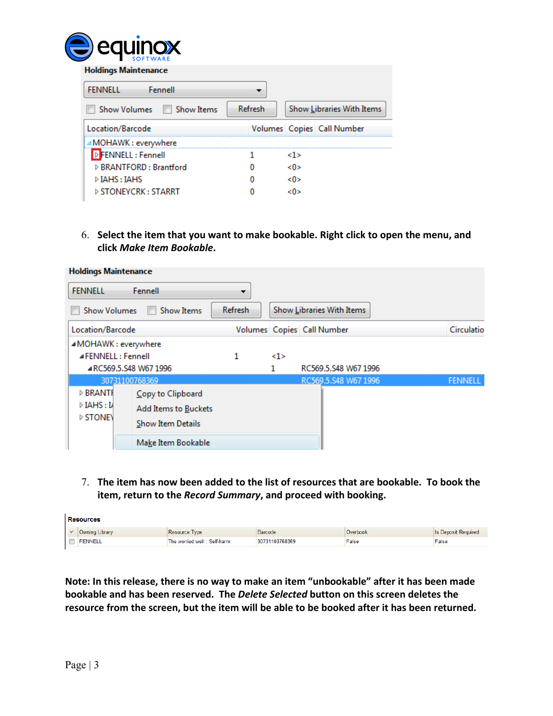

| <b>Holdings Maintenance</b>         |         |     |                            |
|-------------------------------------|---------|-----|----------------------------|
| Fennell<br><b>FENNELL</b>           |         |     |                            |
| Show Volumes III Show Items         | Refresh |     | Show Libraries With Items  |
| Location/Barcode                    |         |     | Volumes Copies Call Number |
| △MOHAWK : everywhere                |         |     |                            |
| <b>D</b> FENNELL: Fennell           |         | <1> |                            |
| ▷ BRANTFORD : Brantford             |         | <0> |                            |
| $\triangleright$ IAHS : IAHS        |         | <0> |                            |
| $\triangleright$ STONEYCRK : STARRT |         |     |                            |

6. **Select the item that you want to make bookable. Right click to open the menu, and click** *Make Item Bookable***.**

| <b>Holdings Maintenance</b> |                      |                |     |                            |                |
|-----------------------------|----------------------|----------------|-----|----------------------------|----------------|
| <b>FENNELL</b><br>Fennell   |                      |                |     |                            |                |
| <b>Show Volumes</b>         | <b>Show Items</b>    | <b>Refresh</b> |     | Show Libraries With Items  |                |
| Location/Barcode            |                      |                |     | Volumes Copies Call Number | Circulatio     |
| ▲MOHAWK: everywhere         |                      |                |     |                            |                |
| ⊿FENNELL : Fennell          |                      | 1              | <1> |                            |                |
| ARC569.5.S48 W67 1996       |                      |                |     | RC569.5.S48 W67 1996       |                |
| 30731100768369              |                      |                |     | RC569.5.S48 W67 1996       | <b>FENNELL</b> |
| ▷ BRANTI                    | Copy to Clipboard    |                |     |                            |                |
| $\triangleright$ IAHS : IA  | Add Items to Buckets |                |     |                            |                |
| ▷ STONEY                    | Show Item Details    |                |     |                            |                |
|                             |                      |                |     |                            |                |
|                             | Make Item Bookable   |                |     |                            |                |

7. **The item has now been added to the list of resources that are bookable. To book the item, return to the** *Record Summary***, and proceed with booking.**

|            | <b>Resources</b> |                             |                |          |                            |
|------------|------------------|-----------------------------|----------------|----------|----------------------------|
| $\sqrt{ }$ | Owning Library   | Resource Type               | <b>Barcode</b> | Overbook | <b>Is Deposit Required</b> |
|            | <b>FENNELL</b>   | The worried well: Self-harm | 30731100768369 | False    | False                      |
|            |                  |                             |                |          |                            |

**Note: In this release, there is no way to make an item "unbookable" after it has been made bookable and has been reserved. The** *Delete Selected* **button on this screen deletes the resource from the screen, but the item will be able to be booked after it has been returned.**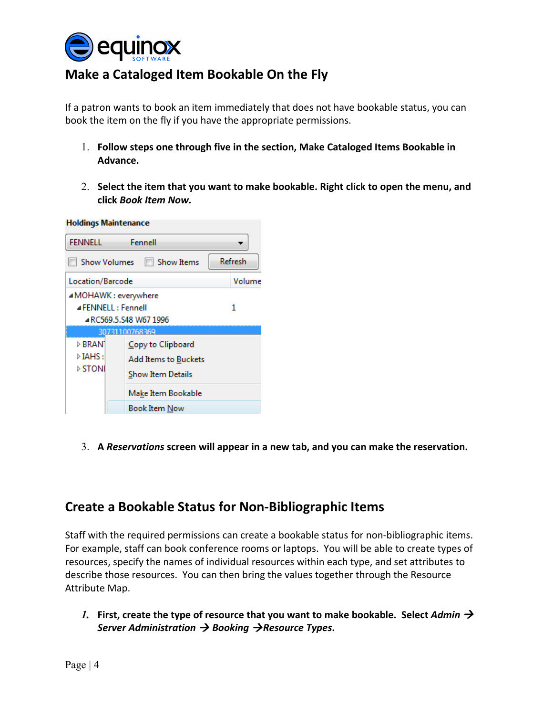

# **Make a Cataloged Item Bookable On the Fly**

If a patron wants to book an item immediately that does not have bookable status, you can book the item on the fly if you have the appropriate permissions.

- 1. **Follow steps one through five in the section, Make Cataloged Items Bookable in Advance.**
- 2. **Select the item that you want to make bookable. Right click to open the menu, and click** *Book Item Now.*



3. **A** *Reservations* **screen will appear in a new tab, and you can make the reservation.**

# **Create a Bookable Status for Non-Bibliographic Items**

Staff with the required permissions can create a bookable status for non-bibliographic items. For example, staff can book conference rooms or laptops. You will be able to create types of resources, specify the names of individual resources within each type, and set attributes to describe those resources. You can then bring the values together through the Resource Attribute Map.

*1.* First, create the type of resource that you want to make bookable. Select Admin  $\rightarrow$ *Server Administration*  $\rightarrow$  *Booking*  $\rightarrow$  *Resource Types.*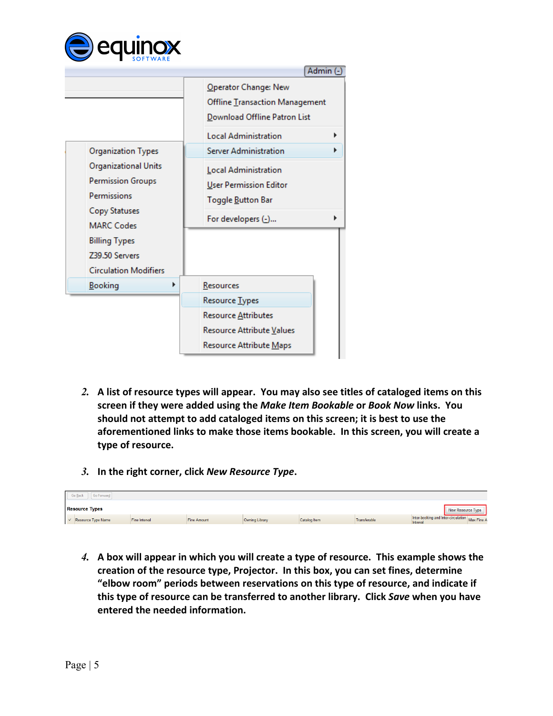

|                                                                                                                                                                                                                     | Admin (-)                                                                                                                                                                                                                                   |
|---------------------------------------------------------------------------------------------------------------------------------------------------------------------------------------------------------------------|---------------------------------------------------------------------------------------------------------------------------------------------------------------------------------------------------------------------------------------------|
| <b>Organization Types</b><br>Organizational Units<br><b>Permission Groups</b><br>Permissions<br><b>Copy Statuses</b><br><b>MARC Codes</b><br><b>Billing Types</b><br>Z39.50 Servers<br><b>Circulation Modifiers</b> | Operator Change: New<br>Offline Transaction Management<br>Download Offline Patron List<br><b>Local Administration</b><br>Server Administration<br>Local Administration<br>User Permission Editor<br>Toggle Button Bar<br>For developers (-) |
| <b>Booking</b>                                                                                                                                                                                                      | Resources                                                                                                                                                                                                                                   |
|                                                                                                                                                                                                                     | Resource Types                                                                                                                                                                                                                              |
|                                                                                                                                                                                                                     | Resource Attributes                                                                                                                                                                                                                         |
|                                                                                                                                                                                                                     | Resource Attribute Values                                                                                                                                                                                                                   |
|                                                                                                                                                                                                                     | Resource Attribute Maps                                                                                                                                                                                                                     |

- *2.* **A list of resource types will appear. You may also see titles of cataloged items on this screen if they were added using the** *Make Item Bookable* **or** *Book Now* **links. You should not attempt to add cataloged items on this screen; it is best to use the aforementioned links to make those items bookable. In this screen, you will create a type of resource.**
- *3.* **In the right corner, click** *New Resource Type***.**

| Go Back<br>Go Forward     |               |                    |                |              |              |                                                            |                   |  |
|---------------------------|---------------|--------------------|----------------|--------------|--------------|------------------------------------------------------------|-------------------|--|
| <b>Resource Types</b>     |               |                    |                |              |              |                                                            | New Resource Type |  |
| $\vee$ Resource Type Name | Fine Interval | <b>Fine Amount</b> | Owning Library | Catalog Item | Transferable | Inter-booking and Inter-circulation Max Fine A<br>Interval |                   |  |

*4.* **A box will appear in which you will create a type of resource. This example shows the creation of the resource type, Projector. In this box, you can set fines, determine "elbow room" periods between reservations on this type of resource, and indicate if this type of resource can be transferred to another library. Click** *Save* **when you have entered the needed information.**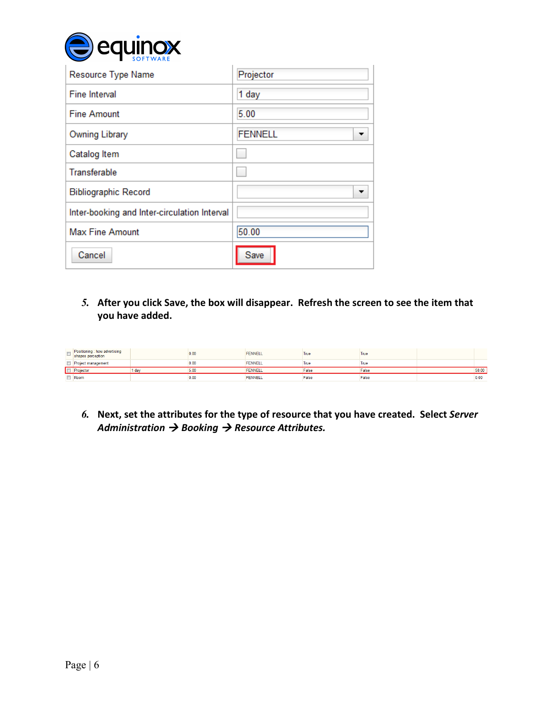

| Resource Type Name                           | Projector      |
|----------------------------------------------|----------------|
| <b>Fine Interval</b>                         | 1 day          |
| <b>Fine Amount</b>                           | 5.00           |
| Owning Library                               | <b>FENNELL</b> |
| Catalog Item                                 |                |
| <b>Transferable</b>                          |                |
| <b>Bibliographic Record</b>                  |                |
| Inter-booking and Inter-circulation Interval |                |
| <b>Max Fine Amount</b>                       | 50.00          |
| Cancel                                       | Save           |

*5.* **After you click Save, the box will disappear. Refresh the screen to see the item that you have added.**

|                          | Positioning : how advertising<br>shapes perception |       | 0.00 | <b>FENNELL</b> | <b>I</b> rue | True  |       |
|--------------------------|----------------------------------------------------|-------|------|----------------|--------------|-------|-------|
|                          | Project management                                 |       | 0.00 | <b>FENNELL</b> | True         | True  |       |
|                          | Projector                                          | l dav | 5.00 | <b>FENNELL</b> | False        | False | 50.00 |
| <b>Contract Contract</b> | Room                                               |       | 0.00 | <b>FENNELL</b> | False        | False | uw    |

*6.* **Next, set the attributes for the type of resource that you have created. Select** *Server Administration → Booking → Resource Attributes.*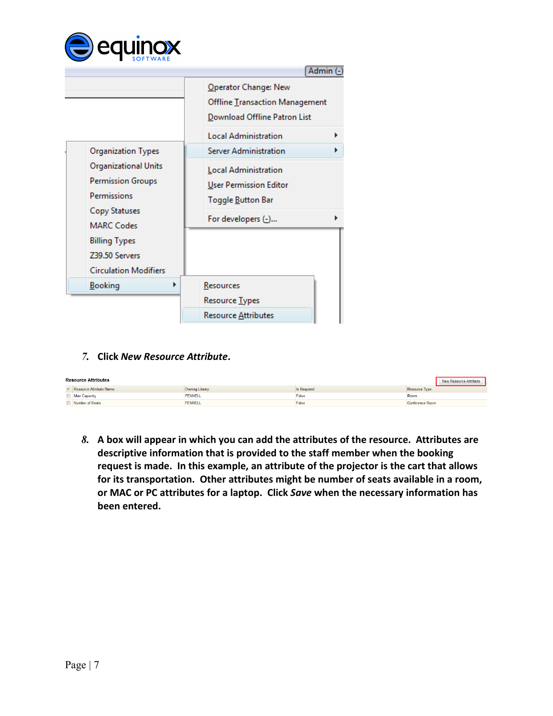

|                                                                                                                                                                                     | Admin                                                                                                                                                                                                                                            |
|-------------------------------------------------------------------------------------------------------------------------------------------------------------------------------------|--------------------------------------------------------------------------------------------------------------------------------------------------------------------------------------------------------------------------------------------------|
| <b>Organization Types</b><br><b>Organizational Units</b><br><b>Permission Groups</b><br>Permissions<br>Copy Statuses<br><b>MARC Codes</b><br><b>Billing Types</b><br>Z39.50 Servers | Operator Change: New<br>Offline Transaction Management<br>Download Offline Patron List<br><b>Local Administration</b><br>Server Administration<br>▶<br>Local Administration<br>User Permission Editor<br>Toggle Button Bar<br>For developers (-) |
| <b>Circulation Modifiers</b><br><b>Booking</b>                                                                                                                                      | Resources<br>Resource Types                                                                                                                                                                                                                      |
|                                                                                                                                                                                     | Resource <u>A</u> ttributes                                                                                                                                                                                                                      |

#### *7.* **Click** *New Resource Attribute***.**

| <b>Resource Attributes</b><br>New Resource Attribute |                           |                |             |                 |  |
|------------------------------------------------------|---------------------------|----------------|-------------|-----------------|--|
|                                                      | ∨ Resource Attribute Name | Owning Library | Is Required | Resource Type   |  |
|                                                      | Max Capacity              | <b>FENNELL</b> | False       | Room            |  |
|                                                      | Number of Seats           | <b>FENNELL</b> | False       | Conference Room |  |

*8.* **A box will appear in which you can add the attributes of the resource. Attributes are descriptive information that is provided to the staff member when the booking request is made. In this example, an attribute of the projector is the cart that allows for its transportation. Other attributes might be number of seats available in a room, or MAC or PC attributes for a laptop. Click** *Save* **when the necessary information has been entered.**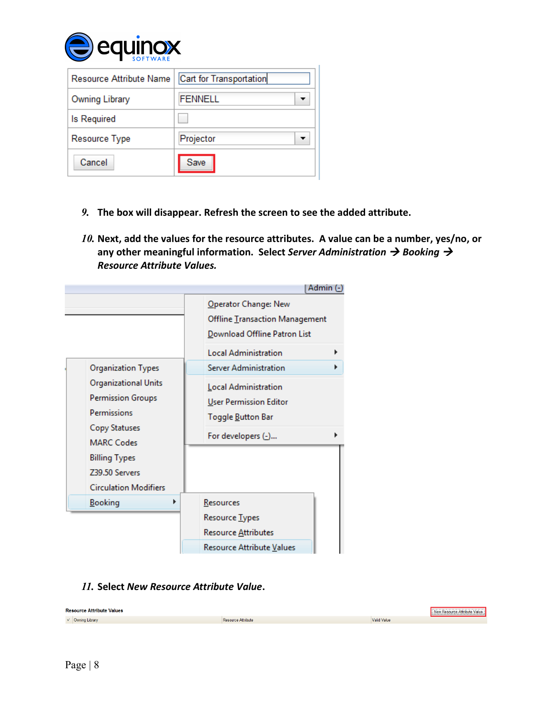

| <b>Resource Attribute Name</b> | Cart for Transportation |
|--------------------------------|-------------------------|
| Owning Library                 | <b>FENNELL</b>          |
| <b>Is Required</b>             |                         |
| Resource Type                  | Projector               |
| Cancel                         | Save                    |

- *9.* **The box will disappear. Refresh the screen to see the added attribute.**
- *10.* **Next, add the values for the resource attributes. A value can be a number, yes/no, or any other meaningful information. Select** *Server Administration Booking Resource Attribute Values.*

|                                                                                                                                                                                                              | Admin (-)                                                                                                                                                                                                                                          |
|--------------------------------------------------------------------------------------------------------------------------------------------------------------------------------------------------------------|----------------------------------------------------------------------------------------------------------------------------------------------------------------------------------------------------------------------------------------------------|
| <b>Organization Types</b><br>Organizational Units<br><b>Permission Groups</b><br>Permissions<br>Copy Statuses<br><b>MARC Codes</b><br><b>Billing Types</b><br>Z39.50 Servers<br><b>Circulation Modifiers</b> | Operator Change: New<br>Offline Transaction Management<br>Download Offline Patron List<br><b>Local Administration</b><br><b>Server Administration</b><br>Local Administration<br>User Permission Editor<br>Toggle Button Bar<br>For developers (-) |
| <b>Booking</b>                                                                                                                                                                                               | Resources                                                                                                                                                                                                                                          |
|                                                                                                                                                                                                              | Resource Types                                                                                                                                                                                                                                     |
|                                                                                                                                                                                                              | Resource Attributes                                                                                                                                                                                                                                |
|                                                                                                                                                                                                              | Resource Attribute Values                                                                                                                                                                                                                          |

### *11.* **Select** *New Resource Attribute Value***.**

| <b>Resource Attribute Values</b> |                    |                    | New Resource Attribute Value |
|----------------------------------|--------------------|--------------------|------------------------------|
| $\vee$ Owning Library            | Resource Attribute | <b>Valid Value</b> |                              |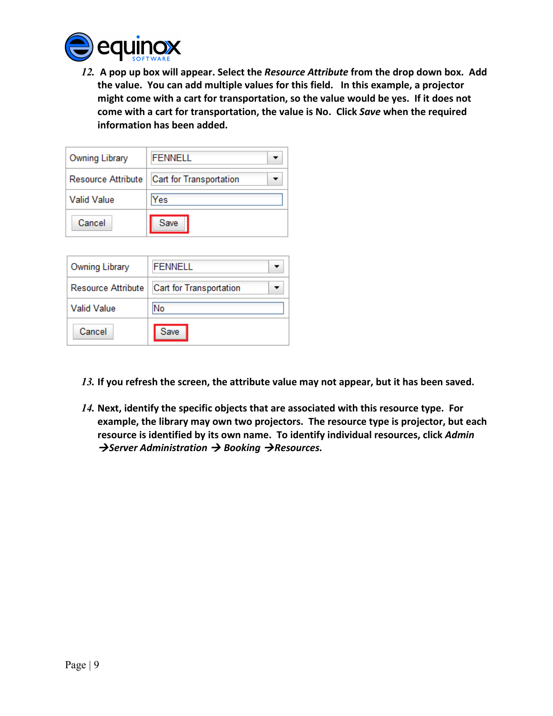

*12.* **A pop up box will appear. Select the** *Resource Attribute* **from the drop down box. Add the value. You can add multiple values for this field. In this example, a projector might come with a cart for transportation, so the value would be yes. If it does not come with a cart for transportation, the value is No. Click** *Save* **when the required information has been added.**

| Owning Library     | <b>FENNELL</b>          |
|--------------------|-------------------------|
| Resource Attribute | Cart for Transportation |
| <b>Valid Value</b> | Yes                     |
| Cancel             | Save                    |

| Owning Library            | FENNELL                 |
|---------------------------|-------------------------|
| <b>Resource Attribute</b> | Cart for Transportation |
| Valid Value.              | No                      |
| Cancel                    | Save                    |

- *13.* **If you refresh the screen, the attribute value may not appear, but it has been saved.**
- *14.* **Next, identify the specific objects that are associated with this resource type. For example, the library may own two projectors. The resource type is projector, but each resource is identified by its own name. To identify individual resources, click** *Admin* **→ Server Administration → Booking → Resources.**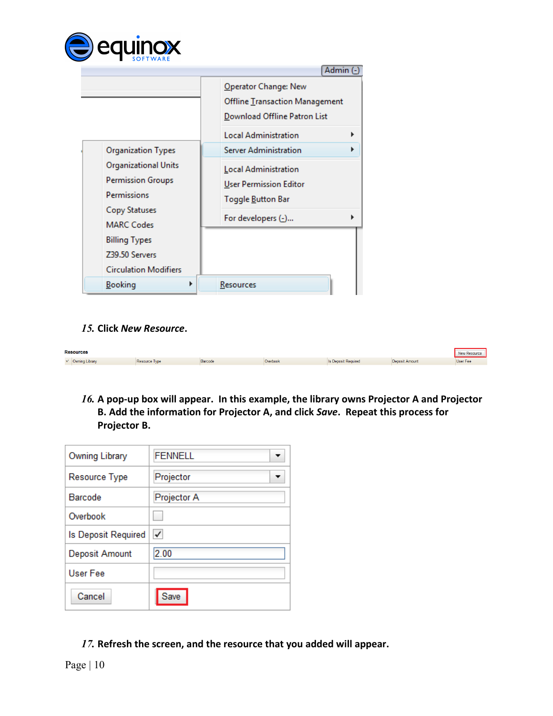

|                                                                                                              | Admin (-                                                                               |
|--------------------------------------------------------------------------------------------------------------|----------------------------------------------------------------------------------------|
|                                                                                                              | Operator Change: New<br>Offline Transaction Management<br>Download Offline Patron List |
|                                                                                                              | <b>Local Administration</b>                                                            |
| <b>Organization Types</b>                                                                                    | Server Administration                                                                  |
| <b>Organizational Units</b><br><b>Permission Groups</b><br>Permissions<br>Copy Statuses<br><b>MARC Codes</b> | Local Administration<br>User Permission Editor<br>Toggle Button Bar                    |
|                                                                                                              | For developers (-)                                                                     |
| <b>Billing Types</b>                                                                                         |                                                                                        |
| Z39.50 Servers<br><b>Circulation Modifiers</b>                                                               |                                                                                        |
| Booking                                                                                                      | Resources                                                                              |

### *15.* **Click** *New Resource***.**

| <b>Resources</b>      |               |         |          |                     |                | New Resource |
|-----------------------|---------------|---------|----------|---------------------|----------------|--------------|
| $\vee$ Owning Library | Resource Type | Barcode | Overbook | Is Deposit Required | Deposit Amount | User Fee     |

*16.* **A pop-up box will appear. In this example, the library owns Projector A and Projector B. Add the information for Projector A, and click** *Save***. Repeat this process for Projector B.**

| Owning Library      | <b>FENNELL</b> |
|---------------------|----------------|
| Resource Type       | Projector      |
| Barcode             | Projector A    |
| Overbook            |                |
| Is Deposit Required | √              |
| Deposit Amount      | 2.00           |
| User Fee            |                |
| Cancel              | Save           |

*17.* **Refresh the screen, and the resource that you added will appear.**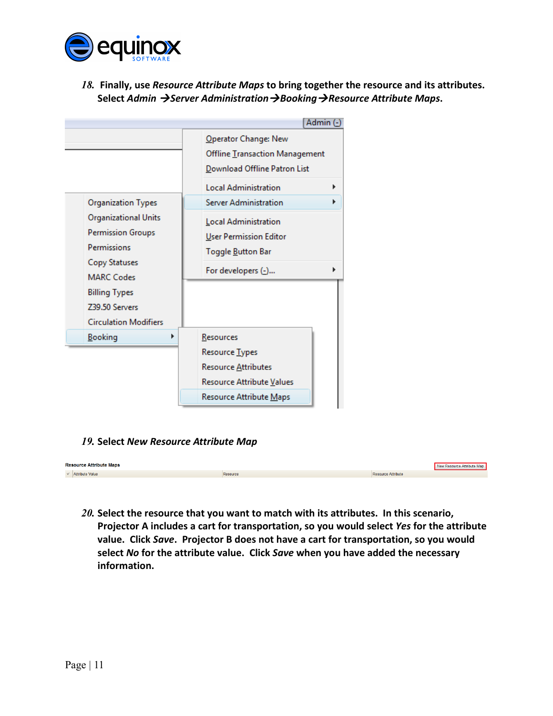

*18.* **Finally, use** *Resource Attribute Maps* **to bring together the resource and its attributes. Select** *Admin Server AdministrationBookingResource Attribute Maps***.**



### *19.* **Select** *New Resource Attribute Map*

| <b>Resource Attribute Maps</b> |          |                           | New Resource Attribute Map |
|--------------------------------|----------|---------------------------|----------------------------|
| $\vee$ Attribute Value         | Resource | <b>Resource Attribute</b> |                            |

*20.* **Select the resource that you want to match with its attributes. In this scenario, Projector A includes a cart for transportation, so you would select** *Yes* **for the attribute value. Click** *Save***. Projector B does not have a cart for transportation, so you would select** *No* **for the attribute value. Click** *Save* **when you have added the necessary information.**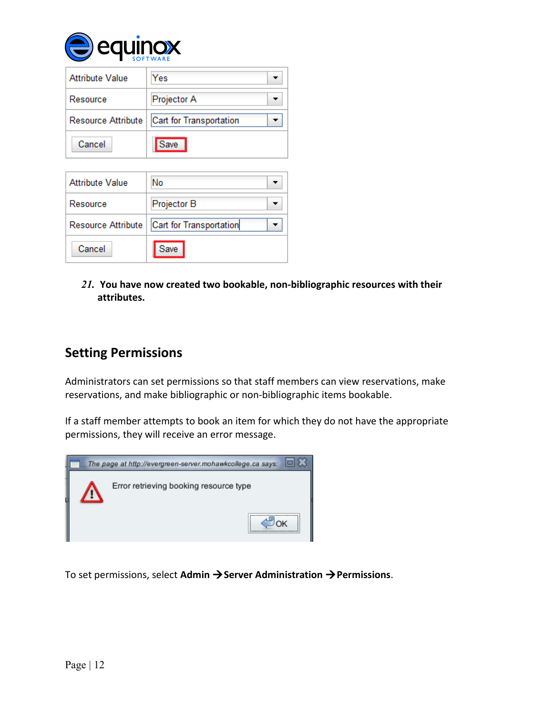

| <b>Attribute Value</b> | Yes                     |
|------------------------|-------------------------|
| Resource               | Projector A             |
| Resource Attribute     | Cart for Transportation |
| Cancel                 | Save                    |

| <b>Attribute Value</b> | No                      |
|------------------------|-------------------------|
| Resource               | Projector B             |
| Resource Attribute     | Cart for Transportation |
| Cancel                 | Save                    |

*21.* **You have now created two bookable, non-bibliographic resources with their attributes.**

# **Setting Permissions**

Administrators can set permissions so that staff members can view reservations, make reservations, and make bibliographic or non-bibliographic items bookable.

If a staff member attempts to book an item for which they do not have the appropriate permissions, they will receive an error message.



To set permissions, select **Admin Server Administration Permissions**.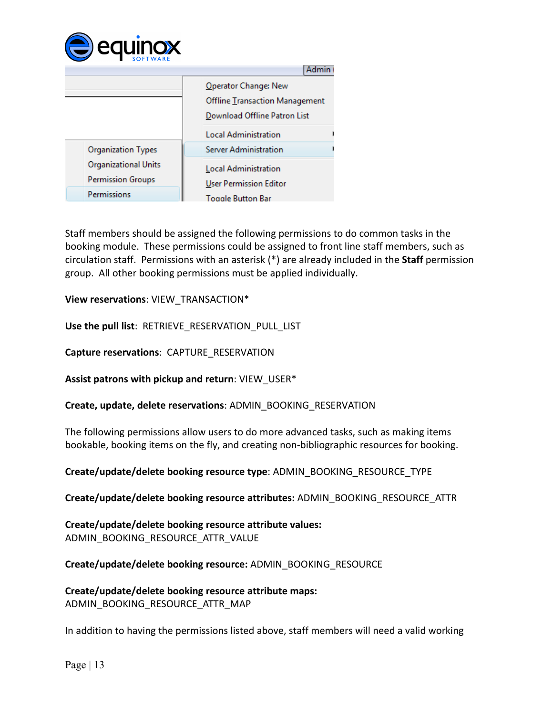

|                                                  | <b>Admin</b>                                                                           |
|--------------------------------------------------|----------------------------------------------------------------------------------------|
|                                                  | Operator Change: New<br>Offline Transaction Management<br>Download Offline Patron List |
|                                                  | <b>Local Administration</b>                                                            |
| <b>Organization Types</b>                        | <b>Server Administration</b>                                                           |
| Organizational Units<br><b>Permission Groups</b> | Local Administration<br>User Permission Editor                                         |
| Permissions                                      | <b>Toggle Button Bar</b>                                                               |

Staff members should be assigned the following permissions to do common tasks in the booking module. These permissions could be assigned to front line staff members, such as circulation staff. Permissions with an asterisk (\*) are already included in the **Staff** permission group. All other booking permissions must be applied individually.

**View reservations**: VIEW\_TRANSACTION\*

**Use the pull list**: RETRIEVE\_RESERVATION\_PULL\_LIST

**Capture reservations**: CAPTURE\_RESERVATION

**Assist patrons with pickup and return**: VIEW\_USER\*

**Create, update, delete reservations**: ADMIN\_BOOKING\_RESERVATION

The following permissions allow users to do more advanced tasks, such as making items bookable, booking items on the fly, and creating non-bibliographic resources for booking.

**Create/update/delete booking resource type**: ADMIN\_BOOKING\_RESOURCE\_TYPE

**Create/update/delete booking resource attributes:** ADMIN\_BOOKING\_RESOURCE\_ATTR

**Create/update/delete booking resource attribute values:** ADMIN\_BOOKING\_RESOURCE\_ATTR\_VALUE

**Create/update/delete booking resource:** ADMIN\_BOOKING\_RESOURCE

**Create/update/delete booking resource attribute maps:** ADMIN\_BOOKING\_RESOURCE\_ATTR\_MAP

In addition to having the permissions listed above, staff members will need a valid working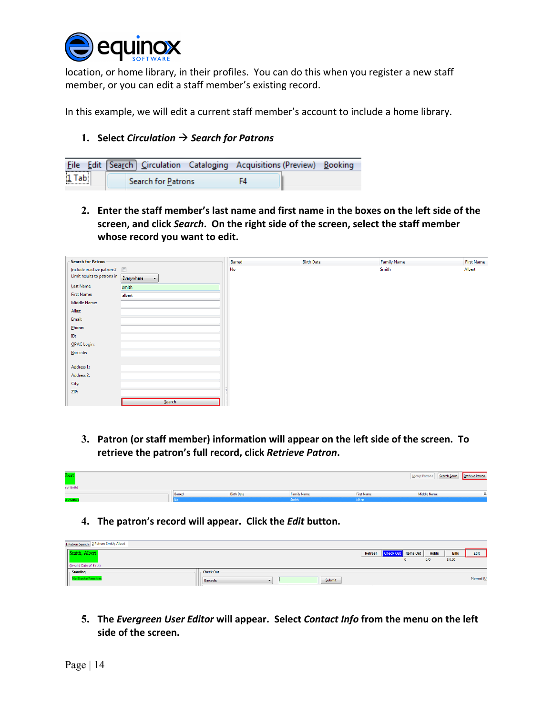

location, or home library, in their profiles. You can do this when you register a new staff member, or you can edit a staff member's existing record.

In this example, we will edit a current staff member's account to include a home library.

#### **1. Select** *Circulation Search for Patrons*

|         | <b>File Edit Search Circulation Cataloging Acquisitions (Preview) Booking</b> |  |
|---------|-------------------------------------------------------------------------------|--|
| $1$ Tab | Search for Patrons                                                            |  |

**2. Enter the staff member's last name and first name in the boxes on the left side of the screen, and click** *Search***. On the right side of the screen, select the staff member whose record you want to edit.**

| <b>Search for Patron</b>      |                                    | Barred | <b>Birth Date</b> | <b>Family Name</b> | <b>First Name</b> |
|-------------------------------|------------------------------------|--------|-------------------|--------------------|-------------------|
| Include inactive patrons?     |                                    | No     |                   | Smith              | Albert            |
| Limit results to patrons in [ | Everywhere<br>$\blacktriangledown$ |        |                   |                    |                   |
| Last Name:                    | smith                              |        |                   |                    |                   |
| First Name:                   | albert                             |        |                   |                    |                   |
| Middle Name:                  |                                    |        |                   |                    |                   |
| Alias:                        |                                    |        |                   |                    |                   |
| Email:                        |                                    |        |                   |                    |                   |
| Phone:                        |                                    |        |                   |                    |                   |
| ID:                           |                                    |        |                   |                    |                   |
| OPAC Login:                   |                                    |        |                   |                    |                   |
| Barcode:                      |                                    |        |                   |                    |                   |
|                               |                                    |        |                   |                    |                   |
| Address 1:                    |                                    |        |                   |                    |                   |
| Address 2:                    |                                    |        |                   |                    |                   |
| City:                         |                                    |        |                   |                    |                   |
| ZIP:                          |                                    |        |                   |                    |                   |
|                               | Search                             |        |                   |                    |                   |

**3. Patron (or staff member) information will appear on the left side of the screen. To retrieve the patron's full record, click** *Retrieve Patron***.**

| <b>Ibert</b><br>e of Birth) |        |                   |                    |                   | Search Form   Retrieve Patron<br>Merge Patrons |  |
|-----------------------------|--------|-------------------|--------------------|-------------------|------------------------------------------------|--|
|                             | Barred | <b>Birth Date</b> | <b>Family Name</b> | <b>First Name</b> | Middle Name                                    |  |
| /Penalties                  |        |                   | Smith              | Albert            |                                                |  |

**4. The patron's record will appear. Click the** *Edit* **button.**

| 1 Patron Search 2 Patron: Smith, Albert |                    |                                 |       |              |            |
|-----------------------------------------|--------------------|---------------------------------|-------|--------------|------------|
| smith, Albert                           |                    | Refresh   Check Out   Items Out | Holds | <b>Bills</b> | Edit       |
|                                         |                    |                                 | 0/0   | \$0.00       |            |
| (Invalid Date of Birth)                 |                    |                                 |       |              |            |
| - Standing                              | <b>Check Out</b>   |                                 |       |              |            |
| <b>No Blocks/Penalties</b>              | Submit<br>Barcode: |                                 |       |              | Normal (U) |

**5. The** *Evergreen User Editor* **will appear. Select** *Contact Info* **from the menu on the left side of the screen.**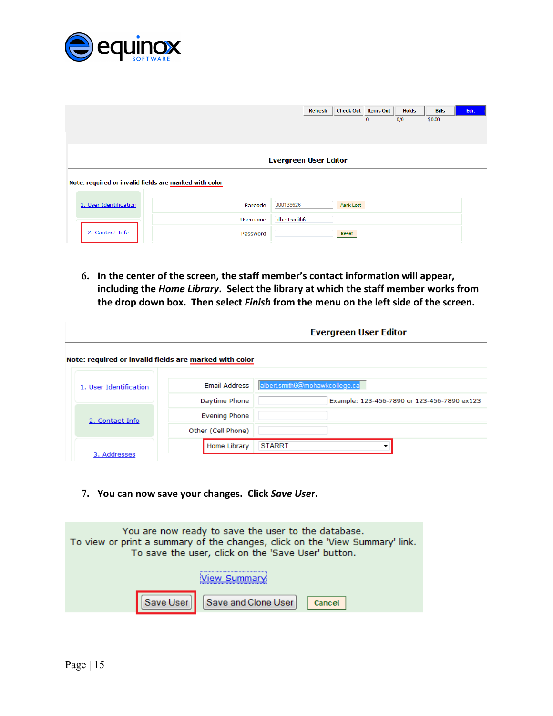

|                        |                                                        | <b>Refresh</b>               | Check Out | <b>Items Out</b> | <b>Holds</b> | <b>Bills</b> | Edit |
|------------------------|--------------------------------------------------------|------------------------------|-----------|------------------|--------------|--------------|------|
|                        |                                                        |                              |           | 0                | 0/0          | \$0.00       |      |
|                        |                                                        |                              |           |                  |              |              |      |
|                        |                                                        |                              |           |                  |              |              |      |
|                        |                                                        | <b>Evergreen User Editor</b> |           |                  |              |              |      |
|                        | Note: required or invalid fields are marked with color |                              |           |                  |              |              |      |
|                        |                                                        |                              |           |                  |              |              |      |
| 1. User Identification | Barcode                                                | 000138626                    | Mark Lost |                  |              |              |      |
|                        | Username                                               | albert.smith6                |           |                  |              |              |      |
| 2. Contact Info        | Password                                               |                              | Reset     |                  |              |              |      |

**6. In the center of the screen, the staff member's contact information will appear, including the** *Home Library***. Select the library at which the staff member works from the drop down box. Then select** *Finish* **from the menu on the left side of the screen.**

|                                                        | Evergreen User Editor |                                             |  |  |  |  |  |
|--------------------------------------------------------|-----------------------|---------------------------------------------|--|--|--|--|--|
| Note: required or invalid fields are marked with color |                       |                                             |  |  |  |  |  |
| 1. User Identification                                 | <b>Email Address</b>  | albert.smith6@mohawkcollege.ca              |  |  |  |  |  |
|                                                        | Daytime Phone         | Example: 123-456-7890 or 123-456-7890 ex123 |  |  |  |  |  |
| 2. Contact Info                                        | <b>Evening Phone</b>  |                                             |  |  |  |  |  |
|                                                        | Other (Cell Phone)    |                                             |  |  |  |  |  |
|                                                        | Home Library          | <b>STARRT</b>                               |  |  |  |  |  |
| 3. Addresses                                           |                       |                                             |  |  |  |  |  |

**7. You can now save your changes. Click** *Save Use***r.**